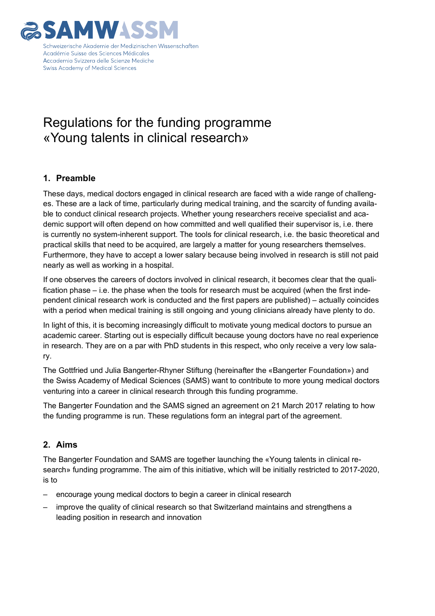

## Regulations for the funding programme «Young talents in clinical research»

### **1. Preamble**

These days, medical doctors engaged in clinical research are faced with a wide range of challenges. These are a lack of time, particularly during medical training, and the scarcity of funding available to conduct clinical research projects. Whether young researchers receive specialist and academic support will often depend on how committed and well qualified their supervisor is, i.e. there is currently no system-inherent support. The tools for clinical research, i.e. the basic theoretical and practical skills that need to be acquired, are largely a matter for young researchers themselves. Furthermore, they have to accept a lower salary because being involved in research is still not paid nearly as well as working in a hospital.

If one observes the careers of doctors involved in clinical research, it becomes clear that the qualification phase – i.e. the phase when the tools for research must be acquired (when the first independent clinical research work is conducted and the first papers are published) – actually coincides with a period when medical training is still ongoing and young clinicians already have plenty to do.

In light of this, it is becoming increasingly difficult to motivate young medical doctors to pursue an academic career. Starting out is especially difficult because young doctors have no real experience in research. They are on a par with PhD students in this respect, who only receive a very low salary.

The Gottfried und Julia Bangerter-Rhyner Stiftung (hereinafter the «Bangerter Foundation») and the Swiss Academy of Medical Sciences (SAMS) want to contribute to more young medical doctors venturing into a career in clinical research through this funding programme.

The Bangerter Foundation and the SAMS signed an agreement on 21 March 2017 relating to how the funding programme is run. These regulations form an integral part of the agreement.

### **2. Aims**

The Bangerter Foundation and SAMS are together launching the «Young talents in clinical research» funding programme. The aim of this initiative, which will be initially restricted to 2017-2020, is to

- encourage young medical doctors to begin a career in clinical research
- improve the quality of clinical research so that Switzerland maintains and strengthens a leading position in research and innovation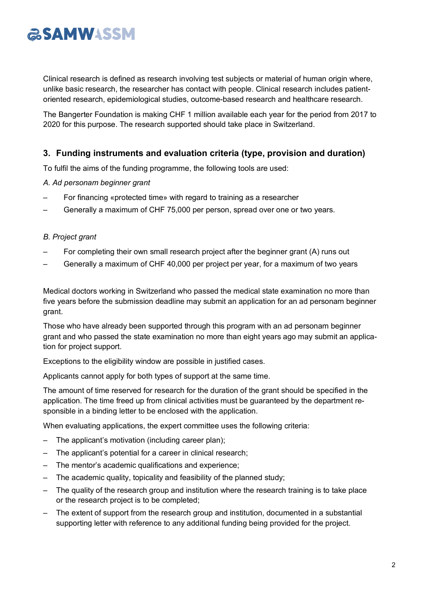# **ESAMWASSM**

Clinical research is defined as research involving test subjects or material of human origin where, unlike basic research, the researcher has contact with people. Clinical research includes patientoriented research, epidemiological studies, outcome-based research and healthcare research.

The Bangerter Foundation is making CHF 1 million available each year for the period from 2017 to 2020 for this purpose. The research supported should take place in Switzerland.

### **3. Funding instruments and evaluation criteria (type, provision and duration)**

To fulfil the aims of the funding programme, the following tools are used:

#### *A. Ad personam beginner grant*

- For financing «protected time» with regard to training as a researcher
- Generally a maximum of CHF 75,000 per person, spread over one or two years.

#### *B. Project grant*

- For completing their own small research project after the beginner grant (A) runs out
- Generally a maximum of CHF 40,000 per project per year, for a maximum of two years

Medical doctors working in Switzerland who passed the medical state examination no more than five years before the submission deadline may submit an application for an ad personam beginner grant.

Those who have already been supported through this program with an ad personam beginner grant and who passed the state examination no more than eight years ago may submit an application for project support.

Exceptions to the eligibility window are possible in justified cases.

Applicants cannot apply for both types of support at the same time.

The amount of time reserved for research for the duration of the grant should be specified in the application. The time freed up from clinical activities must be guaranteed by the department responsible in a binding letter to be enclosed with the application.

When evaluating applications, the expert committee uses the following criteria:

- The applicant's motivation (including career plan);
- The applicant's potential for a career in clinical research;
- The mentor's academic qualifications and experience;
- The academic quality, topicality and feasibility of the planned study;
- The quality of the research group and institution where the research training is to take place or the research project is to be completed;
- The extent of support from the research group and institution, documented in a substantial supporting letter with reference to any additional funding being provided for the project.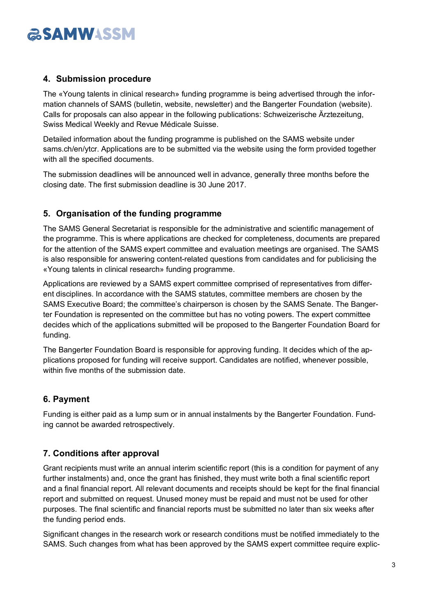# **ESAMWASSM**

### **4. Submission procedure**

The «Young talents in clinical research» funding programme is being advertised through the information channels of SAMS (bulletin, website, newsletter) and the Bangerter Foundation (website). Calls for proposals can also appear in the following publications: Schweizerische Ärztezeitung, Swiss Medical Weekly and Revue Médicale Suisse.

Detailed information about the funding programme is published on the SAMS website under sams.ch/en/ytcr. Applications are to be submitted via the website using the form provided together with all the specified documents.

The submission deadlines will be announced well in advance, generally three months before the closing date. The first submission deadline is 30 June 2017.

### **5. Organisation of the funding programme**

The SAMS General Secretariat is responsible for the administrative and scientific management of the programme. This is where applications are checked for completeness, documents are prepared for the attention of the SAMS expert committee and evaluation meetings are organised. The SAMS is also responsible for answering content-related questions from candidates and for publicising the «Young talents in clinical research» funding programme.

Applications are reviewed by a SAMS expert committee comprised of representatives from different disciplines. In accordance with the SAMS statutes, committee members are chosen by the SAMS Executive Board; the committee's chairperson is chosen by the SAMS Senate. The Bangerter Foundation is represented on the committee but has no voting powers. The expert committee decides which of the applications submitted will be proposed to the Bangerter Foundation Board for funding.

The Bangerter Foundation Board is responsible for approving funding. It decides which of the applications proposed for funding will receive support. Candidates are notified, whenever possible, within five months of the submission date.

### **6. Payment**

Funding is either paid as a lump sum or in annual instalments by the Bangerter Foundation. Funding cannot be awarded retrospectively.

### **7. Conditions after approval**

Grant recipients must write an annual interim scientific report (this is a condition for payment of any further instalments) and, once the grant has finished, they must write both a final scientific report and a final financial report. All relevant documents and receipts should be kept for the final financial report and submitted on request. Unused money must be repaid and must not be used for other purposes. The final scientific and financial reports must be submitted no later than six weeks after the funding period ends.

Significant changes in the research work or research conditions must be notified immediately to the SAMS. Such changes from what has been approved by the SAMS expert committee require explic-